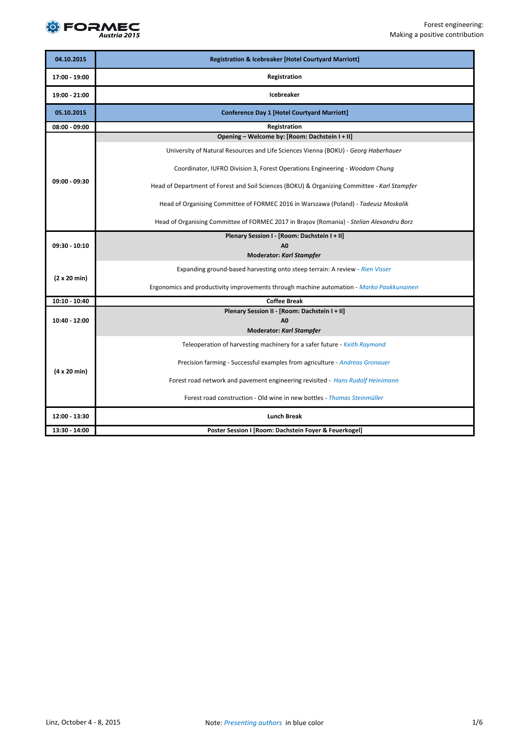

| 04.10.2015                  | <b>Registration &amp; Icebreaker [Hotel Courtyard Marriott]</b>                              |  |
|-----------------------------|----------------------------------------------------------------------------------------------|--|
| 17:00 - 19:00               | Registration                                                                                 |  |
| 19:00 - 21:00               | <b>Icebreaker</b>                                                                            |  |
| 05.10.2015                  | <b>Conference Day 1 [Hotel Courtyard Marriott]</b>                                           |  |
| 08:00 - 09:00               | Registration                                                                                 |  |
|                             | Opening - Welcome by: [Room: Dachstein I + II]                                               |  |
|                             | University of Natural Resources and Life Sciences Vienna (BOKU) - Georg Haberhauer           |  |
|                             | Coordinator, IUFRO Division 3, Forest Operations Engineering - Woodam Chung                  |  |
| 09:00 - 09:30               | Head of Department of Forest and Soil Sciences (BOKU) & Organizing Committee - Karl Stampfer |  |
|                             | Head of Organising Committee of FORMEC 2016 in Warszawa (Poland) - Tadeusz Moskalik          |  |
|                             | Head of Organising Committee of FORMEC 2017 in Brașov (Romania) - Stelian Alexandru Borz     |  |
|                             | Plenary Session I - [Room: Dachstein I + II]                                                 |  |
| 09:30 - 10:10               | A <sub>0</sub>                                                                               |  |
|                             | <b>Moderator: Karl Stampfer</b>                                                              |  |
| $(2 \times 20 \text{ min})$ | Expanding ground-based harvesting onto steep terrain: A review - Rien Visser                 |  |
|                             | Ergonomics and productivity improvements through machine automation - Marko Paakkunainen     |  |
| 10:10 - 10:40               | <b>Coffee Break</b>                                                                          |  |
|                             | Plenary Session II - [Room: Dachstein I + II]                                                |  |
| 10:40 - 12:00               | A <sub>0</sub>                                                                               |  |
|                             | <b>Moderator: Karl Stampfer</b>                                                              |  |
| $(4 \times 20 \text{ min})$ | Teleoperation of harvesting machinery for a safer future - Keith Raymond                     |  |
|                             | Precision farming - Successful examples from agriculture - Andreas Gronauer                  |  |
|                             | Forest road network and pavement engineering revisited - Hans Rudolf Heinimann               |  |
|                             | Forest road construction - Old wine in new bottles - <i>Thomas Steinmüller</i>               |  |
| 12:00 - 13:30               | <b>Lunch Break</b>                                                                           |  |
| 13:30 - 14:00               | Poster Session I [Room: Dachstein Foyer & Feuerkogel]                                        |  |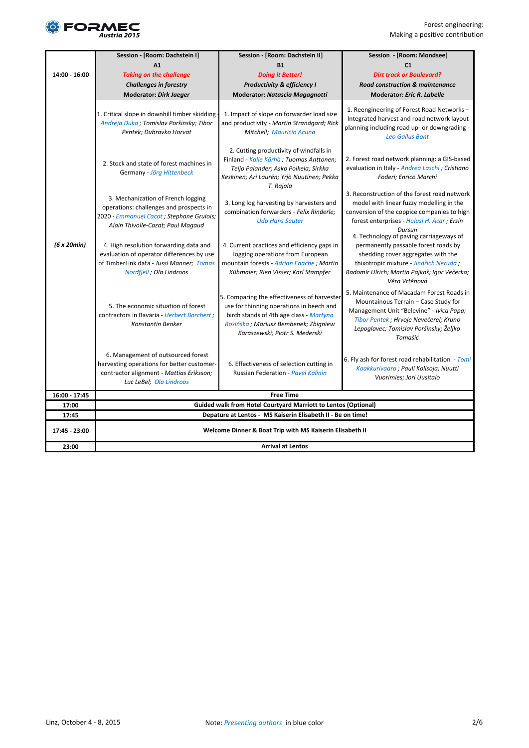

|               | Session - [Room: Dachstein I]                                                                                                                                   | Session - [Room: Dachstein II]                                                                                                                                                                               | Session - [Room: Mondsee]                                                                                                                                                                                                          |
|---------------|-----------------------------------------------------------------------------------------------------------------------------------------------------------------|--------------------------------------------------------------------------------------------------------------------------------------------------------------------------------------------------------------|------------------------------------------------------------------------------------------------------------------------------------------------------------------------------------------------------------------------------------|
|               | A1                                                                                                                                                              | <b>B1</b>                                                                                                                                                                                                    | C <sub>1</sub>                                                                                                                                                                                                                     |
| 14:00 - 16:00 | <b>Taking on the challenge</b>                                                                                                                                  | <b>Doing it Better!</b>                                                                                                                                                                                      | <b>Dirt track or Boulevard?</b>                                                                                                                                                                                                    |
|               | <b>Challenges in forestry</b>                                                                                                                                   | <b>Productivity &amp; efficiency I</b>                                                                                                                                                                       | <b>Road construction &amp; maintenance</b>                                                                                                                                                                                         |
|               | <b>Moderator: Dirk Jaeger</b>                                                                                                                                   | <b>Moderator: Natascia Magagnotti</b>                                                                                                                                                                        | <b>Moderator: Eric R. Labelle</b>                                                                                                                                                                                                  |
|               | 1. Critical slope in downhill timber skidding -<br>Andreja Đuka; Tomislav Poršinsky; Tibor<br>Pentek; Dubravko Horvat                                           | 1. Impact of slope on forwarder load size<br>and productivity - Martin Strandgard; Rick<br>Mitchell; Mauricio Acuna                                                                                          | 1. Reengineering of Forest Road Networks -<br>Integrated harvest and road network layout<br>planning including road up- or downgrading -<br><b>Leo Gallus Bont</b>                                                                 |
|               | 2. Stock and state of forest machines in<br>Germany - Jörg Hittenbeck                                                                                           | 2. Cutting productivity of windfalls in<br>Finland - Kalle Kärhä; Tuomas Anttonen;<br>Teijo Palander; Asko Poikela; Sirkka<br>Keskinen; Ari Laurén; Yrjö Nuutinen; Pekka<br>T. Rajala                        | 2. Forest road network planning: a GIS-based<br>evaluation in Italy - Andrea Laschi ; Cristiano<br>Foderi; Enrico Marchi                                                                                                           |
|               | 3. Mechanization of French logging<br>operations: challenges and prospects in<br>2020 - Emmanuel Cacot ; Stephane Grulois;<br>Alain Thivolle-Cazat; Paul Magaud | 3. Long log harvesting by harvesters and<br>combination forwarders - Felix Rinderle;<br><b>Udo Hans Sauter</b>                                                                                               | 3. Reconstruction of the forest road network<br>model with linear fuzzy modelling in the<br>conversion of the coppice companies to high<br>forest enterprises - Hulusi H. Acar; Ersin<br>Dursun                                    |
| (6 x 20 min)  | 4. High resolution forwarding data and<br>evaluation of operator differences by use<br>of TimberLink data - Jussi Manner; Tomas<br>Nordfjell ; Ola Lindroos     | 4. Current practices and efficiency gaps in<br>logging operations from European<br>mountain forests - Adrian Enache; Martin<br>Kühmaier; Rien Visser; Karl Stampfer                                          | 4. Technology of paving carriageways of<br>permanently passable forest roads by<br>shedding cover aggregates with the<br>thixotropic mixture - Jindřich Neruda;<br>Radomír Ulrich; Martin Pajkoš; Igor Večerka;<br>Věra Vrtěnová   |
|               | 5. The economic situation of forest<br>contractors in Bavaria - Herbert Borchert;<br>Konstantin Benker                                                          | 5. Comparing the effectiveness of harvester<br>use for thinning operations in beech and<br>birch stands of 4th age class - Martyna<br>Rosińska; Mariusz Bembenek; Zbigniew<br>Karaszewski; Piotr S. Mederski | 5. Maintenance of Macadam Forest Roads in<br>Mountainous Terrain - Case Study for<br>Management Unit "Belevine" - Ivica Papa;<br>Tibor Pentek; Hrvoje Nevečerel; Kruno<br>Lepoglavec; Tomislav Poršinsky; Željko<br><b>Tomašić</b> |
|               | 6. Management of outsourced forest<br>harvesting operations for better customer-<br>contractor alignment - Mattias Eriksson;<br>Luc LeBel; Ola Lindroos         | 6. Effectiveness of selection cutting in<br>Russian Federation - Pavel Kalinin                                                                                                                               | 6. Fly ash for forest road rehabilitation - Tomi<br>Kaakkurivaara ; Pauli Kolisoja; Nuutti<br>Vuorimies; Jori Uusitalo                                                                                                             |
| 16:00 - 17:45 |                                                                                                                                                                 | <b>Free Time</b>                                                                                                                                                                                             |                                                                                                                                                                                                                                    |
| 17:00         |                                                                                                                                                                 | <b>Guided walk from Hotel Courtyard Marriott to Lentos (Optional)</b>                                                                                                                                        |                                                                                                                                                                                                                                    |
| 17:45         |                                                                                                                                                                 | Depature at Lentos - MS Kaiserin Elisabeth II - Be on time!                                                                                                                                                  |                                                                                                                                                                                                                                    |
| 17:45 - 23:00 |                                                                                                                                                                 | Welcome Dinner & Boat Trip with MS Kaiserin Elisabeth II                                                                                                                                                     |                                                                                                                                                                                                                                    |
| 23:00         |                                                                                                                                                                 | <b>Arrival at Lentos</b>                                                                                                                                                                                     |                                                                                                                                                                                                                                    |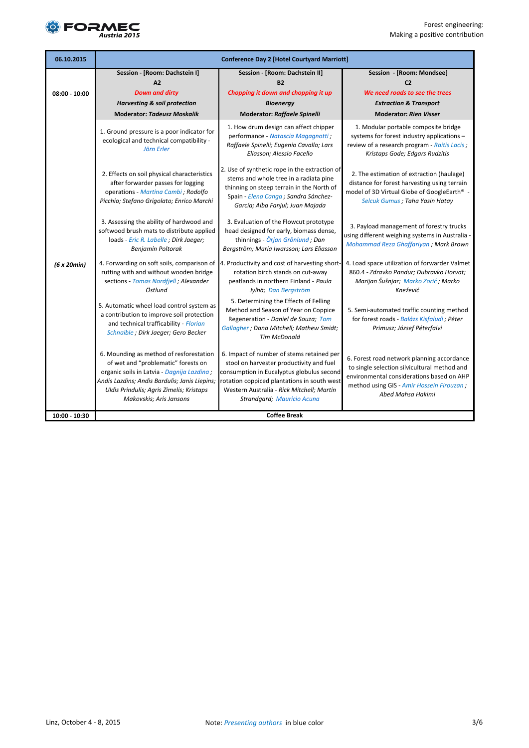

| 06.10.2015      | <b>Conference Day 2 [Hotel Courtyard Marriott]</b>                                                                                                                                                                                                   |                                                                                                                                                                                                                                                              |                                                                                                                                                                                                            |
|-----------------|------------------------------------------------------------------------------------------------------------------------------------------------------------------------------------------------------------------------------------------------------|--------------------------------------------------------------------------------------------------------------------------------------------------------------------------------------------------------------------------------------------------------------|------------------------------------------------------------------------------------------------------------------------------------------------------------------------------------------------------------|
|                 | Session - [Room: Dachstein I]                                                                                                                                                                                                                        | Session - [Room: Dachstein II]                                                                                                                                                                                                                               | Session - [Room: Mondsee]                                                                                                                                                                                  |
|                 | A2                                                                                                                                                                                                                                                   | <b>B2</b>                                                                                                                                                                                                                                                    | C <sub>2</sub>                                                                                                                                                                                             |
| $08:00 - 10:00$ | <b>Down and dirty</b>                                                                                                                                                                                                                                | Chopping it down and chopping it up                                                                                                                                                                                                                          | We need roads to see the trees                                                                                                                                                                             |
|                 | <b>Harvesting &amp; soil protection</b>                                                                                                                                                                                                              | <b>Bioenergy</b>                                                                                                                                                                                                                                             | <b>Extraction &amp; Transport</b>                                                                                                                                                                          |
|                 | <b>Moderator: Tadeusz Moskalik</b>                                                                                                                                                                                                                   | <b>Moderator: Raffaele Spinelli</b>                                                                                                                                                                                                                          | <b>Moderator: Rien Visser</b>                                                                                                                                                                              |
|                 | 1. Ground pressure is a poor indicator for<br>ecological and technical compatibility -<br>Jörn Erler                                                                                                                                                 | 1. How drum design can affect chipper<br>performance - Natascia Magagnotti ;<br>Raffaele Spinelli; Eugenio Cavallo; Lars<br>Eliasson; Alessio Facello                                                                                                        | 1. Modular portable composite bridge<br>systems for forest industry applications -<br>review of a research program - Raitis Lacis;<br>Kristaps Gode; Edgars Rudzitis                                       |
|                 | 2. Effects on soil physical characteristics<br>after forwarder passes for logging<br>operations - Martina Cambi; Rodolfo<br>Picchio; Stefano Grigolato; Enrico Marchi                                                                                | 2. Use of synthetic rope in the extraction of<br>stems and whole tree in a radiata pine<br>thinning on steep terrain in the North of<br>Spain - Elena Canga ; Sandra Sánchez-<br>García; Alba Fanjul; Juan Majada                                            | 2. The estimation of extraction (haulage)<br>distance for forest harvesting using terrain<br>model of 3D Virtual Globe of GoogleEarth® -<br>Selcuk Gumus; Taha Yasin Hatay                                 |
|                 | 3. Assessing the ability of hardwood and<br>softwood brush mats to distribute applied<br>loads - Eric R. Labelle ; Dirk Jaeger;<br>Benjamin Poltorak                                                                                                 | 3. Evaluation of the Flowcut prototype<br>head designed for early, biomass dense,<br>thinnings - Örjan Grönlund; Dan<br>Bergström; Maria Iwarsson; Lars Eliasson                                                                                             | 3. Payload management of forestry trucks<br>using different weighing systems in Australia -<br>Mohammad Reza Ghaffariyan ; Mark Brown                                                                      |
| (6 x 20 min)    | 4. Forwarding on soft soils, comparison of<br>rutting with and without wooden bridge<br>sections - Tomas Nordfjell; Alexander<br>Östlund                                                                                                             | 4. Productivity and cost of harvesting short-<br>rotation birch stands on cut-away<br>peatlands in northern Finland - Paula<br>Jylhä; Dan Bergström                                                                                                          | 4. Load space utilization of forwarder Valmet<br>860.4 - Zdravko Pandur; Dubravko Horvat;<br>Marijan Šušnjar; Marko Zorić; Marko<br>Knežević                                                               |
|                 | 5. Automatic wheel load control system as<br>a contribution to improve soil protection<br>and technical trafficability - Florian<br>Schnaible ; Dirk Jaeger; Gero Becker                                                                             | 5. Determining the Effects of Felling<br>Method and Season of Year on Coppice<br>Regeneration - Daniel de Souza; Tom<br>Gallagher ; Dana Mitchell; Mathew Smidt;<br><b>Tim McDonald</b>                                                                      | 5. Semi-automated traffic counting method<br>for forest roads - Balázs Kisfaludi ; Péter<br>Primusz; József Péterfalvi                                                                                     |
|                 | 6. Mounding as method of resforestation<br>of wet and "problematic" forests on<br>organic soils in Latvia - Dagnija Lazdina;<br>Andis Lazdins; Andis Bardulis; Janis Liepins;<br>Uldis Prindulis; Agris Zimelis; Kristaps<br>Makovskis; Aris Jansons | 6. Impact of number of stems retained per<br>stool on harvester productivity and fuel<br>consumption in Eucalyptus globulus second<br>rotation coppiced plantations in south west<br>Western Australia - Rick Mitchell; Martin<br>Strandgard; Mauricio Acuna | 6. Forest road network planning accordance<br>to single selection silvicultural method and<br>environmental considerations based on AHP<br>method using GIS - Amir Hossein Firouzan ;<br>Abed Mahsa Hakimi |
| 10:00 - 10:30   |                                                                                                                                                                                                                                                      | <b>Coffee Break</b>                                                                                                                                                                                                                                          |                                                                                                                                                                                                            |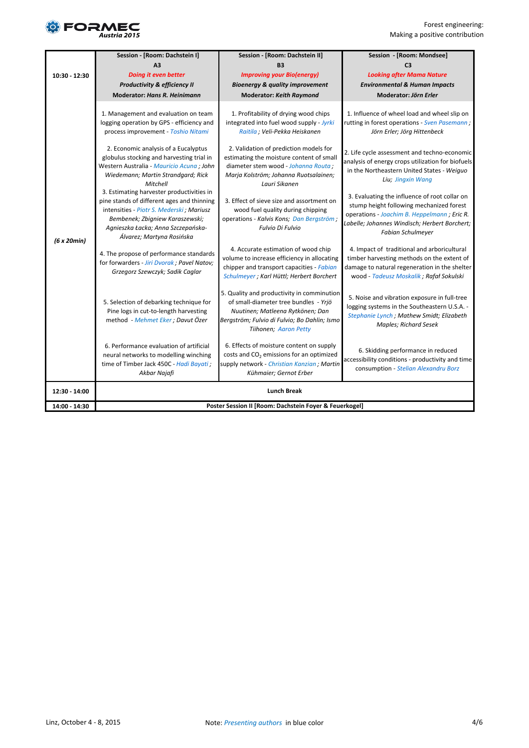

|               | Session - [Room: Dachstein I]                                                                                                                                                                                                             | Session - [Room: Dachstein II]                                                                                                                                                                   | Session - [Room: Mondsee]                                                                                                                                                                                             |
|---------------|-------------------------------------------------------------------------------------------------------------------------------------------------------------------------------------------------------------------------------------------|--------------------------------------------------------------------------------------------------------------------------------------------------------------------------------------------------|-----------------------------------------------------------------------------------------------------------------------------------------------------------------------------------------------------------------------|
|               | A <sub>3</sub>                                                                                                                                                                                                                            | <b>B3</b>                                                                                                                                                                                        | C <sub>3</sub>                                                                                                                                                                                                        |
| 10:30 - 12:30 | <b>Doing it even better</b>                                                                                                                                                                                                               | <b>Improving your Bio(energy)</b>                                                                                                                                                                | <b>Looking after Mama Nature</b>                                                                                                                                                                                      |
|               | Productivity & efficiency II                                                                                                                                                                                                              | <b>Bioenergy &amp; quality improvement</b>                                                                                                                                                       | <b>Environmental &amp; Human Impacts</b>                                                                                                                                                                              |
|               | <b>Moderator: Hans R. Heinimann</b>                                                                                                                                                                                                       | <b>Moderator: Keith Raymond</b>                                                                                                                                                                  | Moderator: Jörn Erler                                                                                                                                                                                                 |
| (6 x 20 min)  | 1. Management and evaluation on team<br>logging operation by GPS - efficiency and<br>process improvement - Toshio Nitami<br>2. Economic analysis of a Eucalyptus                                                                          | 1. Profitability of drying wood chips<br>integrated into fuel wood supply - Jyrki<br>Raitila ; Veli-Pekka Heiskanen<br>2. Validation of prediction models for                                    | 1. Influence of wheel load and wheel slip on<br>rutting in forest operations - Sven Pasemann;<br>Jörn Erler; Jörg Hittenbeck<br>2. Life cycle assessment and techno-economic                                          |
|               | globulus stocking and harvesting trial in<br>Western Australia - Mauricio Acuna ; John<br>Wiedemann; Martin Strandgard; Rick<br>Mitchell                                                                                                  | estimating the moisture content of small<br>diameter stem wood - Johanna Routa;<br>Marja Kolström; Johanna Ruotsalainen;<br>Lauri Sikanen                                                        | analysis of energy crops utilization for biofuels<br>in the Northeastern United States - Weiguo<br>Liu; Jingxin Wang                                                                                                  |
|               | 3. Estimating harvester productivities in<br>pine stands of different ages and thinning<br>intensities - Piotr S. Mederski; Mariusz<br>Bembenek; Zbigniew Karaszewski;<br>Agnieszka Łacka; Anna Szczepańska-<br>Álvarez; Martyna Rosińska | 3. Effect of sieve size and assortment on<br>wood fuel quality during chipping<br>operations - Kalvis Kons; Dan Bergström;<br>Fulvio Di Fulvio                                                   | 3. Evaluating the influence of root collar on<br>stump height following mechanized forest<br>operations - Joachim B. Heppelmann; Eric R.<br>Labelle; Johannes Windisch; Herbert Borchert;<br><b>Fabian Schulmeyer</b> |
|               | 4. The propose of performance standards<br>for forwarders - Jiri Dvorak; Pavel Natov;<br>Grzegorz Szewczyk; Sadik Caglar                                                                                                                  | 4. Accurate estimation of wood chip<br>volume to increase efficiency in allocating<br>chipper and transport capacities - Fabian<br>Schulmeyer ; Karl Hüttl; Herbert Borchert                     | 4. Impact of traditional and arboricultural<br>timber harvesting methods on the extent of<br>damage to natural regeneration in the shelter<br>wood - Tadeusz Moskalik ; Rafał Sokulski                                |
|               | 5. Selection of debarking technique for<br>Pine logs in cut-to-length harvesting<br>method - Mehmet Eker; Davut Özer                                                                                                                      | 5. Quality and productivity in comminution<br>of small-diameter tree bundles - Yrjö<br>Nuutinen; Matleena Rytkönen; Dan<br>Bergström; Fulvio di Fulvio; Bo Dahlin; Ismo<br>Tiihonen; Aaron Petty | 5. Noise and vibration exposure in full-tree<br>logging systems in the Southeastern U.S.A. -<br>Stephanie Lynch; Mathew Smidt; Elizabeth<br><b>Maples; Richard Sesek</b>                                              |
|               | 6. Performance evaluation of artificial<br>neural networks to modelling winching<br>time of Timber Jack 450C - Hadi Bayati;<br>Akbar Najafi                                                                                               | 6. Effects of moisture content on supply<br>costs and CO <sub>2</sub> emissions for an optimized<br>supply network - Christian Kanzian; Martin<br>Kühmaier; Gernot Erber                         | 6. Skidding performance in reduced<br>accessibility conditions - productivity and time<br>consumption - Stelian Alexandru Borz                                                                                        |
| 12:30 - 14:00 |                                                                                                                                                                                                                                           | <b>Lunch Break</b>                                                                                                                                                                               |                                                                                                                                                                                                                       |
| 14:00 - 14:30 |                                                                                                                                                                                                                                           | Poster Session II [Room: Dachstein Foyer & Feuerkogel]                                                                                                                                           |                                                                                                                                                                                                                       |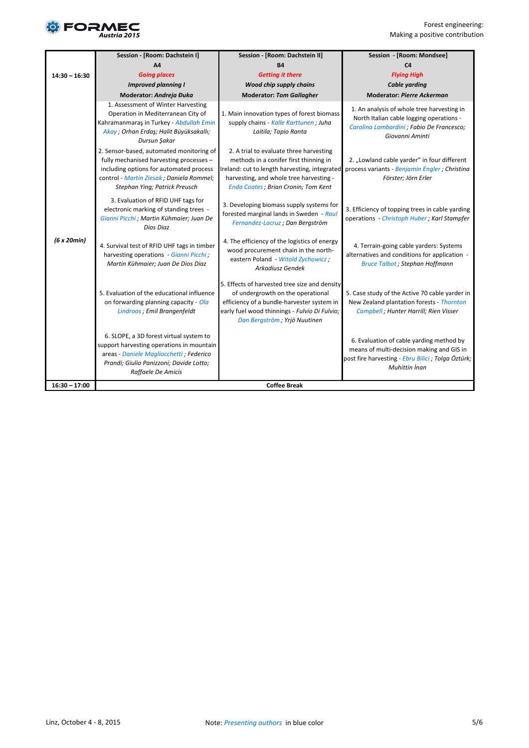

|                 | Session - [Room: Dachstein I]                                                                                                                                                                               | Session - [Room: Dachstein II]                                                                                                                                                                                      | Session - [Room: Mondsee]                                                                                                                                   |
|-----------------|-------------------------------------------------------------------------------------------------------------------------------------------------------------------------------------------------------------|---------------------------------------------------------------------------------------------------------------------------------------------------------------------------------------------------------------------|-------------------------------------------------------------------------------------------------------------------------------------------------------------|
|                 | A4                                                                                                                                                                                                          | <b>B4</b>                                                                                                                                                                                                           | C <sub>4</sub>                                                                                                                                              |
| $14:30 - 16:30$ | <b>Going places</b>                                                                                                                                                                                         | <b>Getting it there</b>                                                                                                                                                                                             | <b>Flying High</b>                                                                                                                                          |
|                 | <b>Improved planning I</b>                                                                                                                                                                                  | <b>Wood chip supply chains</b>                                                                                                                                                                                      | <b>Cable yarding</b>                                                                                                                                        |
|                 | Moderator: Andreja Đuka                                                                                                                                                                                     | <b>Moderator: Tom Gallagher</b>                                                                                                                                                                                     | <b>Moderator: Pierre Ackerman</b>                                                                                                                           |
| (6 x 20 min)    | 1. Assessment of Winter Harvesting<br>Operation in Mediterranean City of<br>Kahramanmaraş in Turkey - Abdullah Emin<br>Akay ; Orhan Erdaş; Halit Büyüksakallı;<br>Dursun Şakar                              | 1. Main innovation types of forest biomass<br>supply chains - Kalle Karttunen; Juha<br>Laitila; Tapio Ranta                                                                                                         | 1. An analysis of whole tree harvesting in<br>North Italian cable logging operations -<br>Carolina Lombardini ; Fabio De Francesco;<br>Giovanni Aminti      |
|                 | 2. Sensor-based, automated monitoring of<br>fully mechanised harvesting processes -<br>including options for automated process<br>control - Martin Ziesak; Daniela Rommel;<br>Stephan Ying; Patrick Preusch | 2. A trial to evaluate three harvesting<br>methods in a conifer first thinning in<br>reland: cut to length harvesting, integrated<br>harvesting, and whole tree harvesting -<br>Enda Coates; Brian Cronin; Tom Kent | 2. "Lowland cable yarder" in four different<br>process variants - Benjamin Engler; Christina<br>Förster; Jörn Erler                                         |
|                 | 3. Evaluation of RFID UHF tags for<br>electronic marking of standing trees -<br>Gianni Picchi ; Martin Kühmaier; Juan De<br>Dios Diaz                                                                       | 3. Developing biomass supply systems for<br>forested marginal lands in Sweden - Raul<br>Fernandez-Lacruz; Dan Bergström                                                                                             | 3. Efficiency of topping trees in cable yarding<br>operations - Christoph Huber; Karl Stampfer                                                              |
|                 | 4. Survival test of RFID UHF tags in timber<br>harvesting operations - Gianni Picchi;<br>Martin Kühmaier; Juan De Dios Diaz                                                                                 | 4. The efficiency of the logistics of energy<br>wood procurement chain in the north-<br>eastern Poland - Witold Zychowicz;<br>Arkadiusz Gendek                                                                      | 4. Terrain-going cable yarders: Systems<br>alternatives and conditions for application -<br><b>Bruce Talbot</b> ; Stephan Hoffmann                          |
|                 | 5. Evaluation of the educational influence<br>on forwarding planning capacity - Ola<br>Lindroos ; Emil Brangenfeldt                                                                                         | 5. Effects of harvested tree size and density<br>of undergrowth on the operational<br>efficiency of a bundle-harvester system in<br>early fuel wood thinnings - Fulvio Di Fulvio;<br>Dan Bergström; Yrjö Nuutinen   | 5. Case study of the Active 70 cable yarder in<br>New Zealand plantation forests - Thornton<br>Campbell ; Hunter Harrill; Rien Visser                       |
|                 | 6. SLOPE, a 3D forest virtual system to<br>support harvesting operations in mountain<br>areas - Daniele Magliocchetti ; Federico<br>Prandi; Giulio Panizzoni; Davide Lotto;<br>Raffaele De Amicis           |                                                                                                                                                                                                                     | 6. Evaluation of cable yarding method by<br>means of multi-decision making and GIS in<br>post fire harvesting - Ebru Bilici; Tolga Öztürk;<br>Muhittin İnan |
| $16:30 - 17:00$ |                                                                                                                                                                                                             | <b>Coffee Break</b>                                                                                                                                                                                                 |                                                                                                                                                             |